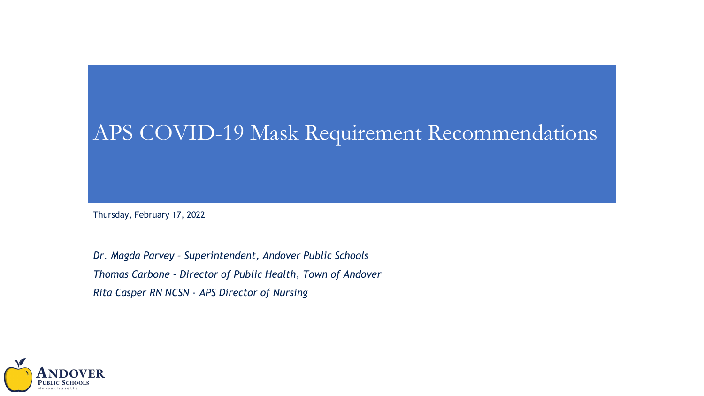#### APS COVID-19 Mask Requirement Recommendations

Thursday, February 17, 2022

*Dr. Magda Parvey – Superintendent, Andover Public Schools Thomas Carbone - Director of Public Health, Town of Andover Rita Casper RN NCSN - APS Director of Nursing*

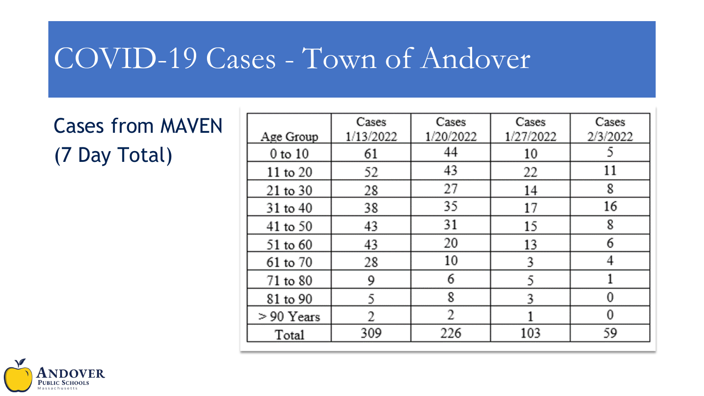# COVID-19 Cases - Town of Andover

Cases from MAVEN (7 Day Total)

|              | Cases     | Cases     | Cases     | Cases    |
|--------------|-----------|-----------|-----------|----------|
| Age Group    | 1/13/2022 | 1/20/2022 | 1/27/2022 | 2/3/2022 |
| 0 to 10      | 61        | 44        | 10        |          |
| 11 to 20     | 52        | 43        | 22        | 11       |
| $21$ to $30$ | 28        | 27        | 14        | 8        |
| 31 to 40     | 38        | 35        | 17        | 16       |
| 41 to 50     | 43        | 31        | 15        | 8        |
| 51 to 60     | 43        | 20        | 13        | 6        |
| 61 to 70     | 28        | 10        | 3         |          |
| 71 to 80     | 9         | 6         | 5         |          |
| 81 to 90     | 5         | 8         | 3         | 0        |
| > 90 Years   | 2         | 2         |           | 0        |
| Total        | 309       | 226       | 103       | 59       |

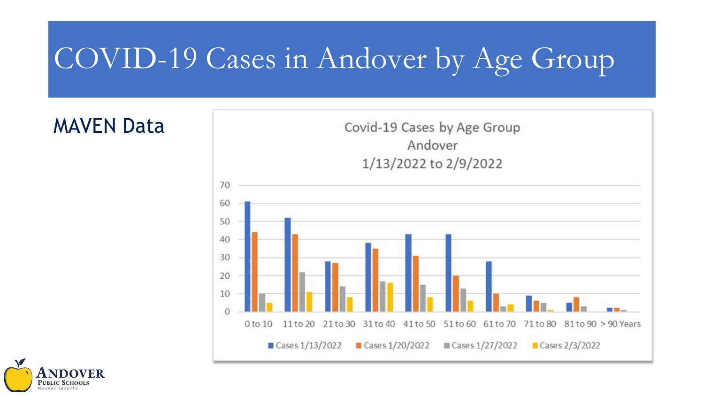# COVID-19 Cases in Andover by Age Group





MAVEN Data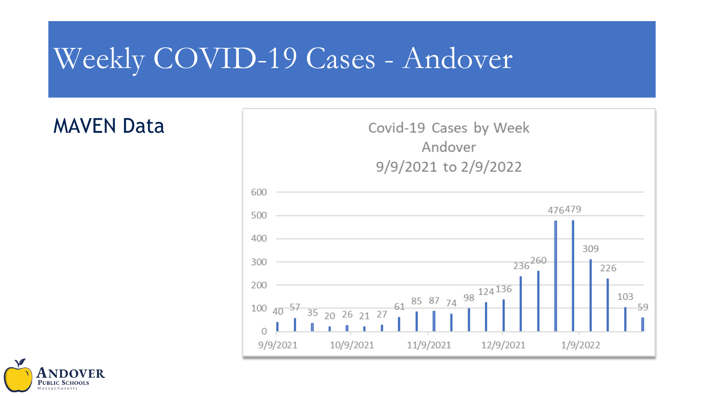# Weekly COVID-19 Cases - Andover

#### MAVEN Data



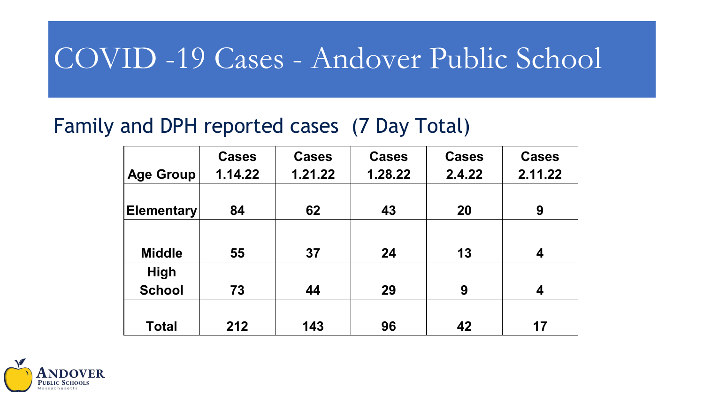# COVID -19 Cases - Andover Public School

#### Family and DPH reported cases (7 Day Total)

|                   | <b>Cases</b> | <b>Cases</b> | <b>Cases</b> | <b>Cases</b> | <b>Cases</b> |
|-------------------|--------------|--------------|--------------|--------------|--------------|
| <b>Age Group</b>  | 1.14.22      | 1.21.22      | 1.28.22      | 2.4.22       | 2.11.22      |
|                   |              |              |              |              |              |
| <b>Elementary</b> | 84           | 62           | 43           | 20           | 9            |
|                   |              |              |              |              |              |
| <b>Middle</b>     | 55           | 37           | 24           | 13           | 4            |
| <b>High</b>       |              |              |              |              |              |
| <b>School</b>     | 73           | 44           | 29           | 9            | 4            |
|                   |              |              |              |              |              |
| <b>Total</b>      | 212          | 143          | 96           | 42           | 17           |

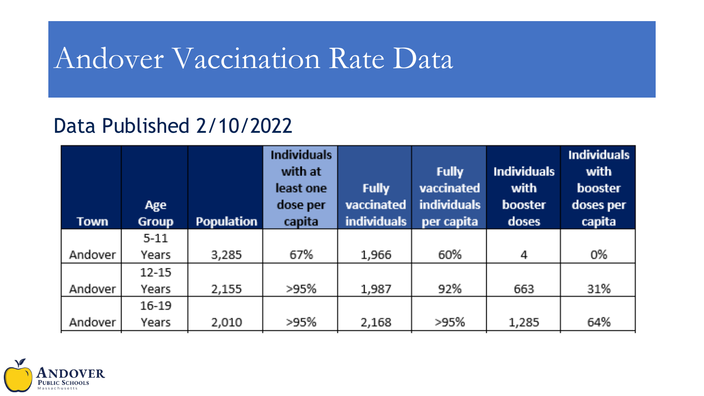# Andover Vaccination Rate Data

### Data Published 2/10/2022

| Town    | <b>Age</b><br><b>Group</b> | <b>Population</b> | <b>Individuals</b><br>with at<br>least one<br>dose per<br>capita | <b>Fully</b><br>vaccinated<br><b>individuals</b> | <b>Fully</b><br>vaccinated<br><b>individuals</b><br>per capita | <b>Individuals</b><br>with<br>booster<br>doses | <b>Individuals</b><br>with<br>booster<br>doses per<br>capita |
|---------|----------------------------|-------------------|------------------------------------------------------------------|--------------------------------------------------|----------------------------------------------------------------|------------------------------------------------|--------------------------------------------------------------|
|         | $5 - 11$                   |                   |                                                                  |                                                  |                                                                |                                                |                                                              |
| Andover | <b>Years</b>               | 3,285             | 67%                                                              | 1,966                                            | 60%                                                            | 4                                              | 0%                                                           |
|         | $12 - 15$                  |                   |                                                                  |                                                  |                                                                |                                                |                                                              |
| Andover | Years                      | 2,155             | >95%                                                             | 1,987                                            | 92%                                                            | 663                                            | 31%                                                          |
|         | $16-19$                    |                   |                                                                  |                                                  |                                                                |                                                |                                                              |
| Andover | Years                      | 2,010             | >95%                                                             | 2,168                                            | >95%                                                           | 1,285                                          | 64%                                                          |

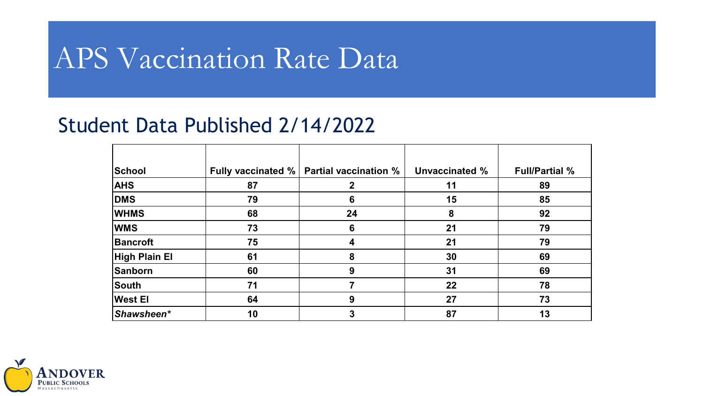# APS Vaccination Rate Data

#### Student Data Published 2/14/2022

| School               | <b>Fully vaccinated %</b> | <b>Partial vaccination %</b> | Unvaccinated % | <b>Full/Partial %</b> |
|----------------------|---------------------------|------------------------------|----------------|-----------------------|
| <b>AHS</b>           | 87                        |                              | 11             | 89                    |
| DMS                  | 79                        | 6                            | 15             | 85                    |
| <b>WHMS</b>          | 68                        | 24                           | 8              | 92                    |
| <b>WMS</b>           | 73                        | 6                            | 21             | 79                    |
| Bancroft             | 75                        | 4                            | 21             | 79                    |
| <b>High Plain El</b> | 61                        | 8                            | 30             | 69                    |
| Sanborn              | 60                        | 9                            | 31             | 69                    |
| South                | 71                        |                              | 22             | 78                    |
| <b>West El</b>       | 64                        | 9                            | 27             | 73                    |
| Shawsheen*           | 10                        | 3                            | 87             | 13                    |

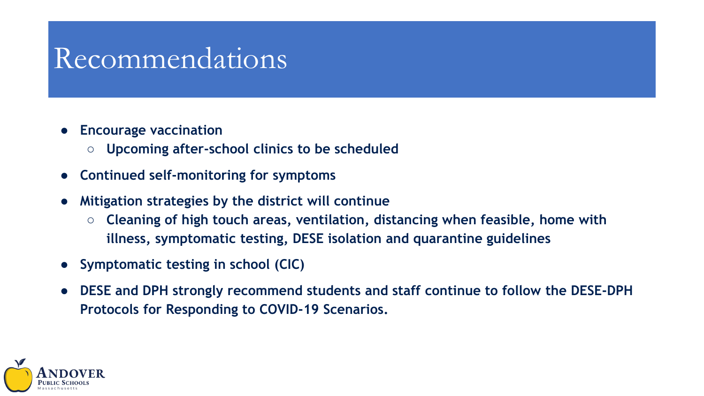- **Encourage vaccination** 
	- **Upcoming after-school clinics to be scheduled**
- **Continued self-monitoring for symptoms**
- **Mitigation strategies by the district will continue**
	- **Cleaning of high touch areas, ventilation, distancing when feasible, home with illness, symptomatic testing, DESE isolation and quarantine guidelines**
- **Symptomatic testing in school (CIC)**
- **DESE and DPH strongly recommend students and staff continue to follow the DESE-DPH Protocols for Responding to COVID-19 Scenarios.**

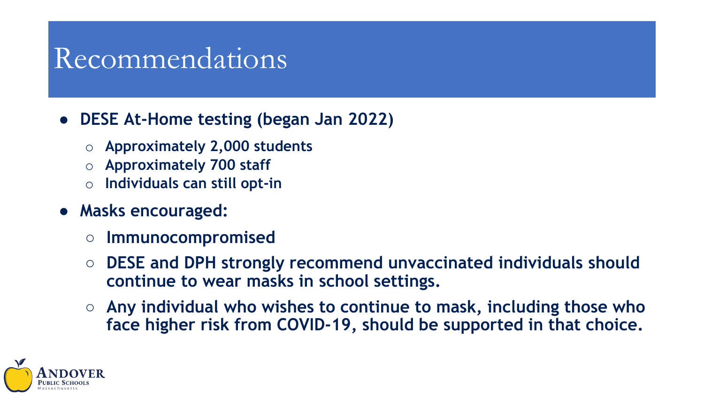#### ● **DESE At-Home testing (began Jan 2022)**

- o **Approximately 2,000 students**
- o **Approximately 700 staff**
- o **Individuals can still opt-in**
- **Masks encouraged:**
	- **Immunocompromised**
	- **DESE and DPH strongly recommend unvaccinated individuals should continue to wear masks in school settings.**
	- **Any individual who wishes to continue to mask, including those who face higher risk from COVID-19, should be supported in that choice.**

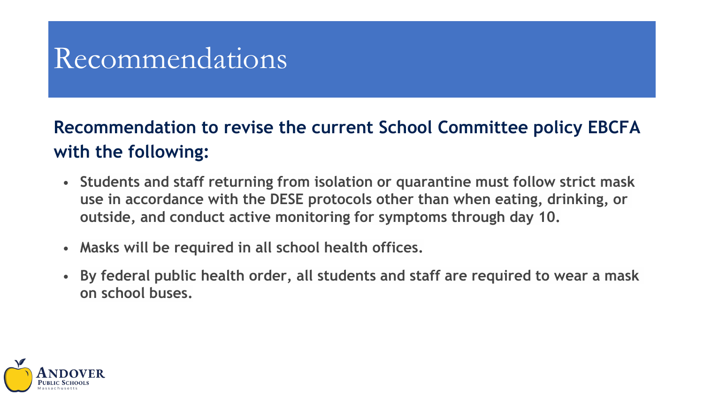#### **Recommendation to revise the current School Committee policy EBCFA with the following:**

- **Students and staff returning from isolation or quarantine must follow strict mask use in accordance with the DESE protocols other than when eating, drinking, or outside, and conduct active monitoring for symptoms through day 10.**
- **Masks will be required in all school health offices.**
- **By federal public health order, all students and staff are required to wear a mask on school buses.**